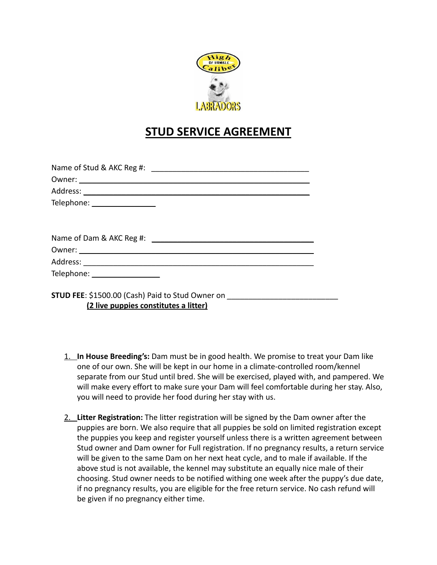

## **STUD SERVICE AGREEMENT**

| Telephone: _________________                                                                                               |  |
|----------------------------------------------------------------------------------------------------------------------------|--|
|                                                                                                                            |  |
|                                                                                                                            |  |
|                                                                                                                            |  |
|                                                                                                                            |  |
| Telephone: ___________________                                                                                             |  |
| STUD FEE: \$1500.00 (Cash) Paid to Stud Owner on ________________________________<br>(2 live puppies constitutes a litter) |  |

- 1. **In House Breeding's:** Dam must be in good health. We promise to treat your Dam like one of our own. She will be kept in our home in a climate-controlled room/kennel separate from our Stud until bred. She will be exercised, played with, and pampered. We will make every effort to make sure your Dam will feel comfortable during her stay. Also, you will need to provide her food during her stay with us.
- 2. **Litter Registration:** The litter registration will be signed by the Dam owner after the puppies are born. We also require that all puppies be sold on limited registration except the puppies you keep and register yourself unless there is a written agreement between Stud owner and Dam owner for Full registration. If no pregnancy results, a return service will be given to the same Dam on her next heat cycle, and to male if available. If the above stud is not available, the kennel may substitute an equally nice male of their choosing. Stud owner needs to be notified withing one week after the puppy's due date, if no pregnancy results, you are eligible for the free return service. No cash refund will be given if no pregnancy either time.